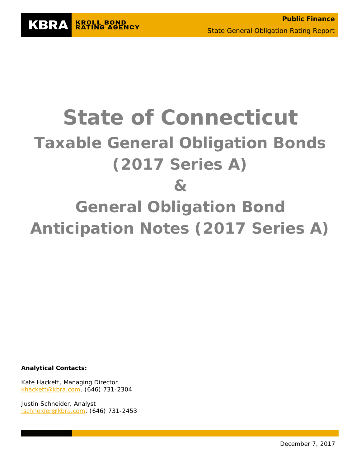

# **State of Connecticut Taxable General Obligation Bonds (2017 Series A) & General Obligation Bond Anticipation Notes (2017 Series A)**

**Analytical Contacts:**

Kate Hackett, Managing Director [khackett@kbra.com,](mailto:khackett@kbra.com) (646) 731-2304

Justin Schneider, Analyst [jschneider@kbra.com,](mailto:jschneider@kbra.com) (646) 731-2453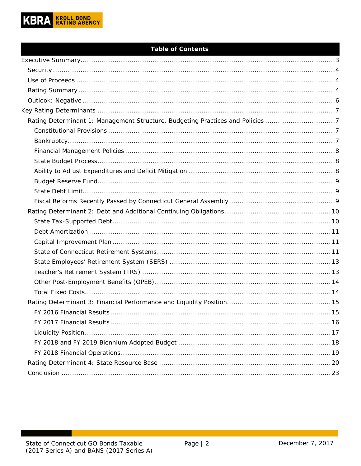

# **Table of Contents**

| Rating Determinant 1: Management Structure, Budgeting Practices and Policies 7 |  |
|--------------------------------------------------------------------------------|--|
|                                                                                |  |
|                                                                                |  |
|                                                                                |  |
|                                                                                |  |
|                                                                                |  |
|                                                                                |  |
|                                                                                |  |
|                                                                                |  |
|                                                                                |  |
|                                                                                |  |
|                                                                                |  |
|                                                                                |  |
|                                                                                |  |
|                                                                                |  |
|                                                                                |  |
|                                                                                |  |
|                                                                                |  |
|                                                                                |  |
|                                                                                |  |
|                                                                                |  |
|                                                                                |  |
|                                                                                |  |
|                                                                                |  |
|                                                                                |  |
|                                                                                |  |
|                                                                                |  |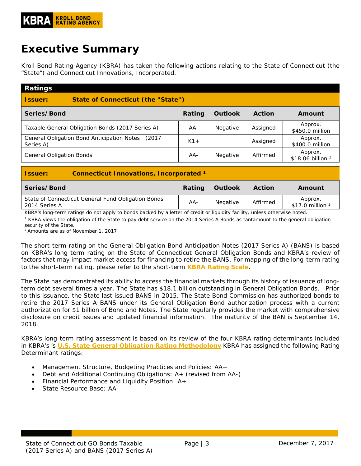# <span id="page-2-0"></span>**Executive Summary**

Kroll Bond Rating Agency (KBRA) has taken the following actions relating to the State of Connecticut (the "State") and Connecticut Innovations, Incorporated.

| <b>Ratings</b>                                                    |        |                |               |                                |  |  |  |  |
|-------------------------------------------------------------------|--------|----------------|---------------|--------------------------------|--|--|--|--|
| <b>State of Connecticut (the "State")</b><br><b>Issuer:</b>       |        |                |               |                                |  |  |  |  |
| Series/Bond                                                       | Rating | <b>Outlook</b> | <b>Action</b> | Amount                         |  |  |  |  |
| Taxable General Obligation Bonds (2017 Series A)                  | AA-    | Negative       | Assigned      | Approx.<br>\$450.0 million     |  |  |  |  |
| General Obligation Bond Anticipation Notes<br>(2017)<br>Series A) | $K1+$  |                | Assigned      | Approx.<br>\$400.0 million     |  |  |  |  |
| <b>General Obligation Bonds</b>                                   | AA-    | Negative       | Affirmed      | Approx.<br>\$18.06 billion $2$ |  |  |  |  |
| <b>Connecticut Innovations, Incorporated 1</b><br><b>Issuer:</b>  |        |                |               |                                |  |  |  |  |

| Series/Bond                                                         | Rating | Outlook         | <b>Action</b> | Amount                        |
|---------------------------------------------------------------------|--------|-----------------|---------------|-------------------------------|
| State of Connecticut General Fund Obligation Bonds<br>2014 Series A | AA-    | <b>Negative</b> | Affirmed      | Approx.<br>\$17.0 million $2$ |

*KBRA's long-term ratings do not apply to bonds backed by a letter of credit or liquidity facility, unless otherwise noted.*

*<sup>1</sup> KBRA views the obligation of the State to pay debt service on the 2014 Series A Bonds as tantamount to the general obligation security of the State.*

*2 Amounts are as of November 1, 2017*

The short-term rating on the General Obligation Bond Anticipation Notes (2017 Series A) (BANS) is based on KBRA's long term rating on the State of Connecticut General Obligation Bonds and KBRA's review of factors that may impact market access for financing to retire the BANS. For mapping of the long-term rating to the short-term rating, please refer to the short-term **[KBRA Rating Scale](https://www.krollbondratings.com/ratings/methodologies/rating-scales)**.

The State has demonstrated its ability to access the financial markets through its history of issuance of longterm debt several times a year. The State has \$18.1 billion outstanding in General Obligation Bonds. Prior to this issuance, the State last issued BANS in 2015. The State Bond Commission has authorized bonds to retire the 2017 Series A BANS under its General Obligation Bond authorization process with a current authorization for \$1 billion of Bond and Notes. The State regularly provides the market with comprehensive disclosure on credit issues and updated financial information. The maturity of the BAN is September 14, 2018.

KBRA's long-term rating assessment is based on its review of the four KBRA rating determinants included in KBRA's 's **U.S. State [General Obligation Rating](http://www.krollbondratings.com/show_report/74) Methodology** KBRA has assigned the following Rating Determinant ratings:

- Management Structure, Budgeting Practices and Policies: AA+
- Debt and Additional Continuing Obligations: A+ (revised from AA-)
- Financial Performance and Liquidity Position: A+
- State Resource Base: AA-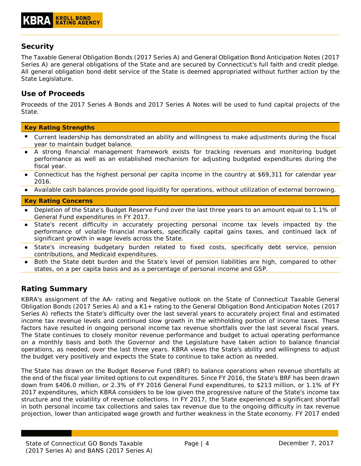# <span id="page-3-0"></span>**Security**

The Taxable General Obligation Bonds (2017 Series A) and General Obligation Bond Anticipation Notes (2017 Series A) are general obligations of the State and are secured by Connecticut's full faith and credit pledge. All general obligation bond debt service of the State is deemed appropriated without further action by the State Legislature.

# <span id="page-3-1"></span>**Use of Proceeds**

Proceeds of the 2017 Series A Bonds and 2017 Series A Notes will be used to fund capital projects of the State.

#### **Key Rating Strengths**

- Current leadership has demonstrated an ability and willingness to make adjustments during the fiscal year to maintain budget balance.
- A strong financial management framework exists for tracking revenues and monitoring budget performance as well as an established mechanism for adjusting budgeted expenditures during the fiscal year.
- Connecticut has the highest personal per capita income in the country at \$69,311 for calendar year 2016.
- Available cash balances provide good liquidity for operations, without utilization of external borrowing.

#### **Key Rating Concerns**

- Depletion of the State's Budget Reserve Fund over the last three years to an amount equal to 1.1% of General Fund expenditures in FY 2017.
- State's recent difficulty in accurately projecting personal income tax levels impacted by the performance of volatile financial markets, specifically capital gains taxes, and continued lack of significant growth in wage levels across the State.
- State's increasing budgetary burden related to fixed costs, specifically debt service, pension contributions, and Medicaid expenditures.
- Both the State debt burden and the State's level of pension liabilities are high, compared to other states, on a per capita basis and as a percentage of personal income and GSP.

# <span id="page-3-2"></span>**Rating Summary**

KBRA's assignment of the AA- rating and Negative outlook on the State of Connecticut Taxable General Obligation Bonds (2017 Series A) and a K1+ rating to the General Obligation Bond Anticipation Notes (2017 Series A) reflects the State's difficulty over the last several years to accurately project final and estimated income tax revenue levels and continued slow growth in the withholding portion of income taxes. These factors have resulted in ongoing personal income tax revenue shortfalls over the last several fiscal years. The State continues to closely monitor revenue performance and budget to actual operating performance on a monthly basis and both the Governor and the Legislature have taken action to balance financial operations, as needed, over the last three years. KBRA views the State's ability and willingness to adjust the budget very positively and expects the State to continue to take action as needed.

The State has drawn on the Budget Reserve Fund (BRF) to balance operations when revenue shortfalls at the end of the fiscal year limited options to cut expenditures. Since FY 2016, the State's BRF has been drawn down from \$406.0 million, or 2.3% of FY 2016 General Fund expenditures, to \$213 million, or 1.1% of FY 2017 expenditures, which KBRA considers to be low given the progressive nature of the State's income tax structure and the volatility of revenue collections. In FY 2017, the State experienced a significant shortfall in both personal income tax collections and sales tax revenue due to the ongoing difficulty in tax revenue projection, lower than anticipated wage growth and further weakness in the State economy. FY 2017 ended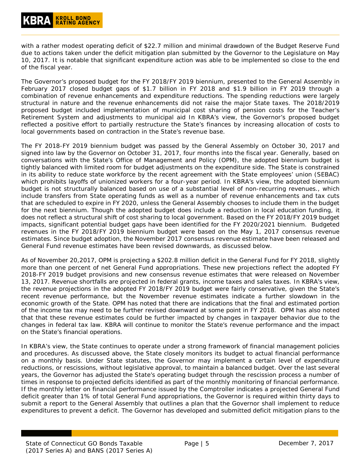with a rather modest operating deficit of \$22.7 million and minimal drawdown of the Budget Reserve Fund due to actions taken under the deficit mitigation plan submitted by the Governor to the Legislature on May 10, 2017. It is notable that significant expenditure action was able to be implemented so close to the end of the fiscal year.

The Governor's proposed budget for the FY 2018/FY 2019 biennium, presented to the General Assembly in February 2017 closed budget gaps of \$1.7 billion in FY 2018 and \$1.9 billion in FY 2019 through a combination of revenue enhancements and expenditure reductions. The spending reductions were largely structural in nature and the revenue enhancements did not raise the major State taxes. The 2018/2019 proposed budget included implementation of municipal cost sharing of pension costs for the Teacher's Retirement System and adjustments to municipal aid In KBRA's view, the Governor's proposed budget reflected a positive effort to partially restructure the State's finances by increasing allocation of costs to local governments based on contraction in the State's revenue base.

The FY 2018-FY 2019 biennium budget was passed by the General Assembly on October 30, 2017 and signed into law by the Governor on October 31, 2017, four months into the fiscal year. Generally, based on conversations with the State's Office of Management and Policy (OPM), the adopted biennium budget is tightly balanced with limited room for budget adjustments on the expenditure side. The State is constrained in its ability to reduce state workforce by the recent agreement with the State employees' union (SEBAC) which prohibits layoffs of unionized workers for a four-year period. In KBRA's view, the adopted biennium budget is not structurally balanced based on use of a substantial level of non-recurring revenues., which include transfers from State operating funds as well as a number of revenue enhancements and tax cuts that are scheduled to expire in FY 2020, unless the General Assembly chooses to include them in the budget for the next biennium. Though the adopted budget does include a reduction in local education funding, it does not reflect a structural shift of cost sharing to local government. Based on the FY 2018/FY 2019 budget impacts, significant potential budget gaps have been identified for the FY 2020/2021 biennium. Budgeted revenues in the FY 2018/FY 2019 biennium budget were based on the May 1, 2017 consensus revenue estimates. Since budget adoption, the November 2017 consensus revenue estimate have been released and General Fund revenue estimates have been revised downwards, as discussed below.

As of November 20,2017, OPM is projecting a \$202.8 million deficit in the General Fund for FY 2018, slightly more than one percent of net General Fund appropriations. These new projections reflect the adopted FY 2018-FY 2019 budget provisions and new consensus revenue estimates that were released on November 13, 2017. Revenue shortfalls are projected in federal grants, income taxes and sales taxes. In KBRA's view, the revenue projections in the adopted FY 2018/FY 2019 budget were fairly conservative, given the State's recent revenue performance, but the November revenue estimates indicate a further slowdown in the economic growth of the State. OPM has noted that there are indications that the final and estimated portion of the income tax may need to be further revised downward at some point in FY 2018. OPM has also noted that that these revenue estimates could be further impacted by changes in taxpayer behavior due to the changes in federal tax law. KBRA will continue to monitor the State's revenue performance and the impact on the State's financial operations.

In KBRA's view, the State continues to operate under a strong framework of financial management policies and procedures. As discussed above, the State closely monitors its budget to actual financial performance on a monthly basis. Under State statutes, the Governor may implement a certain level of expenditure reductions, or rescissions, without legislative approval, to maintain a balanced budget. Over the last several years, the Governor has adjusted the State's operating budget through the rescission process a number of times in response to projected deficits identified as part of the monthly monitoring of financial performance. If the monthly letter on financial performance issued by the Comptroller indicates a projected General Fund deficit greater than 1% of total General Fund appropriations, the Governor is required within thirty days to submit a report to the General Assembly that outlines a plan that the Governor shall implement to reduce expenditures to prevent a deficit. The Governor has developed and submitted deficit mitigation plans to the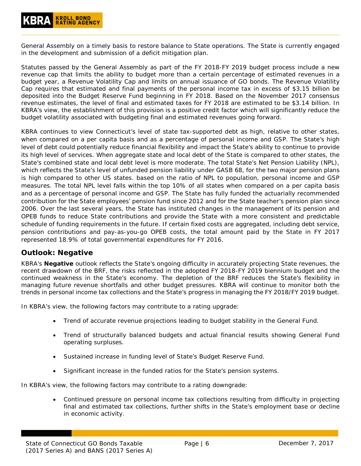General Assembly on a timely basis to restore balance to State operations. The State is currently engaged in the development and submission of a deficit mitigation plan.

Statutes passed by the General Assembly as part of the FY 2018-FY 2019 budget process include a new revenue cap that limits the ability to budget more than a certain percentage of estimated revenues in a budget year, a Revenue Volatility Cap and limits on annual issuance of GO bonds. The Revenue Volatility Cap requires that estimated and final payments of the personal income tax in excess of \$3.15 billion be deposited into the Budget Reserve Fund beginning in FY 2018. Based on the November 2017 consensus revenue estimates, the level of final and estimated taxes for FY 2018 are estimated to be \$3.14 billion. In KBRA's view, the establishment of this provision is a positive credit factor which will significantly reduce the budget volatility associated with budgeting final and estimated revenues going forward.

KBRA continues to view Connecticut's level of state tax-supported debt as high, relative to other states, when compared on a per capita basis and as a percentage of personal income and GSP. The State's high level of debt could potentially reduce financial flexibility and impact the State's ability to continue to provide its high level of services. When aggregate state and local debt of the State is compared to other states, the State's combined state and local debt level is more moderate. The total State's Net Pension Liability (NPL), which reflects the State's level of unfunded pension liability under GASB 68, for the two major pension plans is high compared to other US states. based on the ratio of NPL to population, personal income and GSP measures. The total NPL level falls within the top 10% of all states when compared on a per capita basis and as a percentage of personal income and GSP. The State has fully funded the actuarially recommended contribution for the State employees' pension fund since 2012 and for the State teacher's pension plan since 2006. Over the last several years, the State has instituted changes in the management of its pension and OPEB funds to reduce State contributions and provide the State with a more consistent and predictable schedule of funding requirements in the future. If certain fixed costs are aggregated, including debt service, pension contributions and pay-as-you-go OPEB costs, the total amount paid by the State in FY 2017 represented 18.9% of total governmental expenditures for FY 2016.

## <span id="page-5-0"></span>**Outlook: Negative**

KBRA's **Negative** outlook reflects the State's ongoing difficulty in accurately projecting State revenues, the recent drawdown of the BRF, the risks reflected in the adopted FY 2018-FY 2019 biennium budget and the continued weakness in the State's economy. The depletion of the BRF reduces the State's flexibility in managing future revenue shortfalls and other budget pressures. KBRA will continue to monitor both the trends in personal income tax collections and the State's progress in managing the FY 2018/FY 2019 budget.

In KBRA's view, the following factors may contribute to a rating upgrade:

- Trend of accurate revenue projections leading to budget stability in the General Fund.
- Trend of structurally balanced budgets and actual financial results showing General Fund operating surpluses.
- Sustained increase in funding level of State's Budget Reserve Fund.
- Significant increase in the funded ratios for the State's pension systems.

In KBRA's view, the following factors may contribute to a rating downgrade:

• Continued pressure on personal income tax collections resulting from difficulty in projecting final and estimated tax collections, further shifts in the State's employment base or decline in economic activity.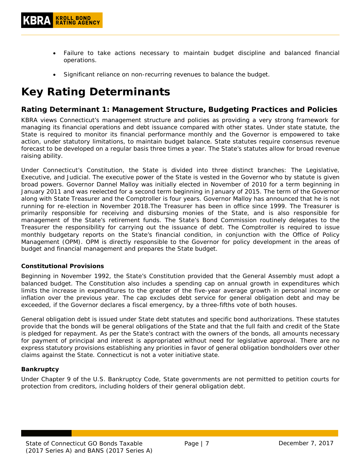- Failure to take actions necessary to maintain budget discipline and balanced financial operations.
- Significant reliance on non-recurring revenues to balance the budget.

# <span id="page-6-0"></span>**Key Rating Determinants**

## <span id="page-6-1"></span>**Rating Determinant 1: Management Structure, Budgeting Practices and Policies**

KBRA views Connecticut's management structure and policies as providing a very strong framework for managing its financial operations and debt issuance compared with other states. Under state statute, the State is required to monitor its financial performance monthly and the Governor is empowered to take action, under statutory limitations, to maintain budget balance. State statutes require consensus revenue forecast to be developed on a regular basis three times a year. The State's statutes allow for broad revenue raising ability.

Under Connecticut's Constitution, the State is divided into three distinct branches: The Legislative, Executive, and Judicial. The executive power of the State is vested in the Governor who by statute is given broad powers. Governor Dannel Malloy was initially elected in November of 2010 for a term beginning in January 2011 and was reelected for a second term beginning in January of 2015. The term of the Governor along with State Treasurer and the Comptroller is four years. Governor Malloy has announced that he is not running for re-election in November 2018.The Treasurer has been in office since 1999. The Treasurer is primarily responsible for receiving and disbursing monies of the State, and is also responsible for management of the State's retirement funds. The State's Bond Commission routinely delegates to the Treasurer the responsibility for carrying out the issuance of debt. The Comptroller is required to issue monthly budgetary reports on the State's financial condition, in conjunction with the Office of Policy Management (OPM). OPM is directly responsible to the Governor for policy development in the areas of budget and financial management and prepares the State budget.

#### <span id="page-6-2"></span>**Constitutional Provisions**

Beginning in November 1992, the State's Constitution provided that the General Assembly must adopt a balanced budget. The Constitution also includes a spending cap on annual growth in expenditures which limits the increase in expenditures to the greater of the five-year average growth in personal income or inflation over the previous year. The cap excludes debt service for general obligation debt and may be exceeded, if the Governor declares a fiscal emergency, by a three-fifths vote of both houses.

General obligation debt is issued under State debt statutes and specific bond authorizations. These statutes provide that the bonds will be general obligations of the State and that the full faith and credit of the State is pledged for repayment. As per the State's contract with the owners of the bonds, all amounts necessary for payment of principal and interest is appropriated without need for legislative approval. There are no express statutory provisions establishing any priorities in favor of general obligation bondholders over other claims against the State. Connecticut is not a voter initiative state.

#### <span id="page-6-3"></span>**Bankruptcy**

Under Chapter 9 of the U.S. Bankruptcy Code, State governments are not permitted to petition courts for protection from creditors, including holders of their general obligation debt.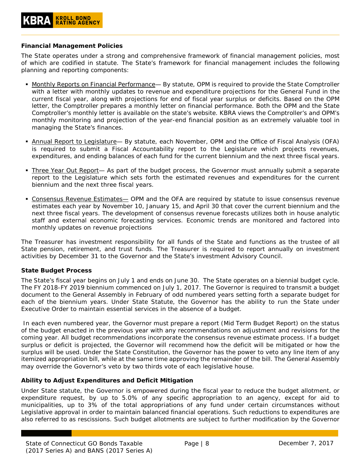#### <span id="page-7-0"></span>**Financial Management Policies**

The State operates under a strong and comprehensive framework of financial management policies, most of which are codified in statute. The State's framework for financial management includes the following planning and reporting components:

- Monthly Reports on Financial Performance— By statute, OPM is required to provide the State Comptroller with a letter with monthly updates to revenue and expenditure projections for the General Fund in the current fiscal year, along with projections for end of fiscal year surplus or deficits. Based on the OPM letter, the Comptroller prepares a monthly letter on financial performance. Both the OPM and the State Comptroller's monthly letter is available on the state's website. KBRA views the Comptroller's and OPM's monthly monitoring and projection of the year-end financial position as an extremely valuable tool in managing the State's finances.
- **Annual Report to Legislature** By statute, each November, OPM and the Office of Fiscal Analysis (OFA) is required to submit a Fiscal Accountability report to the Legislature which projects revenues, expenditures, and ending balances of each fund for the current biennium and the next three fiscal years.
- Three Year Out Report- As part of the budget process, the Governor must annually submit a separate report to the Legislature which sets forth the estimated revenues and expenditures for the current biennium and the next three fiscal years.
- **Consensus Revenue Estimates** OPM and the OFA are required by statute to issue consensus revenue estimates each year by November 10, January 15, and April 30 that cover the current biennium and the next three fiscal years. The development of consensus revenue forecasts utilizes both in house analytic staff and external economic forecasting services. Economic trends are monitored and factored into monthly updates on revenue projections

The Treasurer has investment responsibility for all funds of the State and functions as the trustee of all State pension, retirement, and trust funds. The Treasurer is required to report annually on investment activities by December 31 to the Governor and the State's investment Advisory Council.

#### <span id="page-7-1"></span>**State Budget Process**

The State's fiscal year begins on July 1 and ends on June 30. The State operates on a biennial budget cycle. The FY 2018-FY 2019 biennium commenced on July 1, 2017. The Governor is required to transmit a budget document to the General Assembly in February of odd numbered years setting forth a separate budget for each of the biennium years. Under State Statute, the Governor has the ability to run the State under Executive Order to maintain essential services in the absence of a budget.

In each even numbered year, the Governor must prepare a report (Mid Term Budget Report) on the status of the budget enacted in the previous year with any recommendations on adjustment and revisions for the coming year. All budget recommendations incorporate the consensus revenue estimate process. If a budget surplus or deficit is projected, the Governor will recommend how the deficit will be mitigated or how the surplus will be used. Under the State Constitution, the Governor has the power to veto any line item of any itemized appropriation bill, while at the same time approving the remainder of the bill. The General Assembly may override the Governor's veto by two thirds vote of each legislative house.

#### <span id="page-7-2"></span>**Ability to Adjust Expenditures and Deficit Mitigation**

Under State statute, the Governor is empowered during the fiscal year to reduce the budget allotment, or expenditure request, by up to 5.0% of any specific appropriation to an agency, except for aid to municipalities, up to 3% of the total appropriations of any fund under certain circumstances without Legislative approval in order to maintain balanced financial operations. Such reductions to expenditures are also referred to as rescissions. Such budget allotments are subject to further modification by the Governor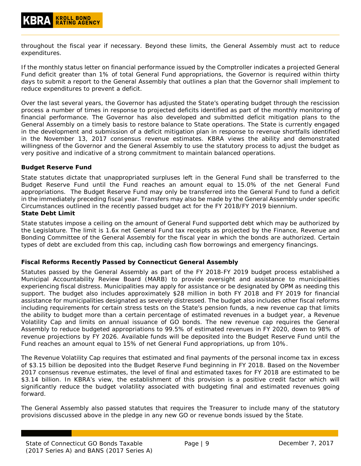throughout the fiscal year if necessary. Beyond these limits, the General Assembly must act to reduce expenditures.

If the monthly status letter on financial performance issued by the Comptroller indicates a projected General Fund deficit greater than 1% of total General Fund appropriations, the Governor is required within thirty days to submit a report to the General Assembly that outlines a plan that the Governor shall implement to reduce expenditures to prevent a deficit.

Over the last several years, the Governor has adjusted the State's operating budget through the rescission process a number of times in response to projected deficits identified as part of the monthly monitoring of financial performance. The Governor has also developed and submitted deficit mitigation plans to the General Assembly on a timely basis to restore balance to State operations. The State is currently engaged in the development and submission of a deficit mitigation plan in response to revenue shortfalls identified in the November 13, 2017 consensus revenue estimates. KBRA views the ability and demonstrated willingness of the Governor and the General Assembly to use the statutory process to adjust the budget as very positive and indicative of a strong commitment to maintain balanced operations.

#### <span id="page-8-0"></span>**Budget Reserve Fund**

State statutes dictate that unappropriated surpluses left in the General Fund shall be transferred to the Budget Reserve Fund until the Fund reaches an amount equal to 15.0% of the net General Fund appropriations. The Budget Reserve Fund may only be transferred into the General Fund to fund a deficit in the immediately preceding fiscal year. Transfers may also be made by the General Assembly under specific Circumstances outlined in the recently passed budget act for the FY 2018/FY 2019 biennium.

#### <span id="page-8-1"></span>**State Debt Limit**

State statutes impose a ceiling on the amount of General Fund supported debt which may be authorized by the Legislature. The limit is 1.6x net General Fund tax receipts as projected by the Finance, Revenue and Bonding Committee of the General Assembly for the fiscal year in which the bonds are authorized. Certain types of debt are excluded from this cap, including cash flow borrowings and emergency financings.

#### <span id="page-8-2"></span>**Fiscal Reforms Recently Passed by Connecticut General Assembly**

Statutes passed by the General Assembly as part of the FY 2018-FY 2019 budget process established a Municipal Accountability Review Board (MARB) to provide oversight and assistance to municipalities experiencing fiscal distress. Municipalities may apply for assistance or be designated by OPM as needing this support. The budget also includes approximately \$28 million in both FY 2018 and FY 2019 for financial assistance for municipalities designated as severely distressed. The budget also includes other fiscal reforms including requirements for certain stress tests on the State's pension funds, a new revenue cap that limits the ability to budget more than a certain percentage of estimated revenues in a budget year, a Revenue Volatility Cap and limits on annual issuance of GO bonds. The new revenue cap requires the General Assembly to reduce budgeted appropriations to 99.5% of estimated revenues in FY 2020, down to 98% of revenue projections by FY 2026. Available funds will be deposited into the Budget Reserve Fund until the Fund reaches an amount equal to 15% of net General Fund appropriations, up from 10%.

The Revenue Volatility Cap requires that estimated and final payments of the personal income tax in excess of \$3.15 billion be deposited into the Budget Reserve Fund beginning in FY 2018. Based on the November 2017 consensus revenue estimates, the level of final and estimated taxes for FY 2018 are estimated to be \$3.14 billion. In KBRA's view, the establishment of this provision is a positive credit factor which will significantly reduce the budget volatility associated with budgeting final and estimated revenues going forward.

The General Assembly also passed statutes that requires the Treasurer to include many of the statutory provisions discussed above in the pledge in any new GO or revenue bonds issued by the State.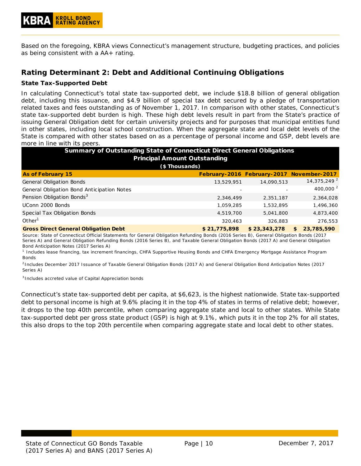Based on the foregoing, KBRA views Connecticut's management structure, budgeting practices, and policies as being consistent with a AA+ rating.

# <span id="page-9-0"></span>**Rating Determinant 2: Debt and Additional Continuing Obligations**

#### <span id="page-9-1"></span>**State Tax-Supported Debt**

In calculating Connecticut's total state tax-supported debt, we include \$18.8 billion of general obligation debt, including this issuance, and \$4.9 billion of special tax debt secured by a pledge of transportation related taxes and fees outstanding as of November 1, 2017. In comparison with other states, Connecticut's state tax-supported debt burden is high. These high debt levels result in part from the State's practice of issuing General Obligation debt for certain university projects and for purposes that municipal entities fund in other states, including local school construction. When the aggregate state and local debt levels of the State is compared with other states based on as a percentage of personal income and GSP, debt levels are more in line with its peers.

| <b>Summary of Outstanding State of Connecticut Direct General Obligations</b><br><b>Principal Amount Outstanding</b> |              |                                           |    |                         |  |  |  |  |  |
|----------------------------------------------------------------------------------------------------------------------|--------------|-------------------------------------------|----|-------------------------|--|--|--|--|--|
| (\$Thousands)                                                                                                        |              |                                           |    |                         |  |  |  |  |  |
| <b>As of February 15</b>                                                                                             |              | February-2016 February-2017 November-2017 |    |                         |  |  |  |  |  |
| <b>General Obligation Bonds</b>                                                                                      | 13,529,951   | 14,090,513                                |    | 14,375,249 <sup>2</sup> |  |  |  |  |  |
| General Obligation Bond Anticipation Notes                                                                           |              |                                           |    | 400,000 $^{2}$          |  |  |  |  |  |
| Pension Obligation Bonds <sup>3</sup>                                                                                | 2,346,499    | 2,351,187                                 |    | 2,364,028               |  |  |  |  |  |
| UConn 2000 Bonds                                                                                                     | 1.059.285    | 1,532,895                                 |    | 1,496,360               |  |  |  |  |  |
| Special Tax Obligation Bonds                                                                                         | 4,519,700    | 5,041,800                                 |    | 4,873,400               |  |  |  |  |  |
| Other <sup>1</sup>                                                                                                   | 320.463      | 326.883                                   |    | 276,553                 |  |  |  |  |  |
| <b>Gross Direct General Obligation Debt</b>                                                                          | \$21,775,898 | \$23,343,278                              | \$ | 23,785,590              |  |  |  |  |  |

*Source: State of Connecticut Official Statements for General Obligation Refunding Bonds (2016 Series B), General Obligation Bonds (2017 Series A) and General Obligation Refunding Bonds (2016 Series B), and Taxable General Obligation Bonds (2017 A) and General Obligation Bond Anticipation Notes (2017 Series A)*

*1 Includes lease financing, tax increment financings, CHFA Supportive Housing Bonds and CHFA Emergency Mortgage Assistance Program Bonds*

*<sup>2</sup> Includes December 2017 Issuance of Taxable General Obligation Bonds (2017 A) and General Obligation Bond Anticipation Notes (2017 Series A)*

*<sup>3</sup> Includes accreted value of Capital Appreciation bonds* 

Connecticut's state tax-supported debt per capita, at \$6,623, is the highest nationwide. State tax-supported debt to personal income is high at 9.6% placing it in the top 4% of states in terms of relative debt; however, it drops to the top 40th percentile, when comparing aggregate state and local to other states. While State tax-supported debt per gross state product (GSP) is high at 9.1%, which puts it in the top 2% for all states, this also drops to the top 20th percentile when comparing aggregate state and local debt to other states.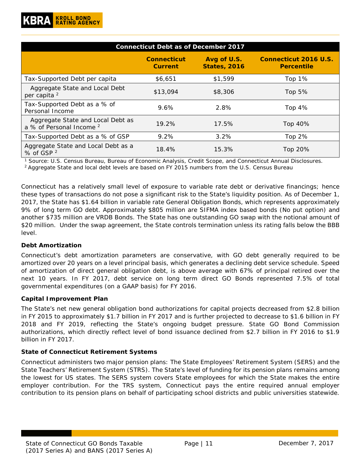| <b>Connecticut Debt as of December 2017</b>                              |                                      |                                    |                                                   |  |  |  |  |  |  |
|--------------------------------------------------------------------------|--------------------------------------|------------------------------------|---------------------------------------------------|--|--|--|--|--|--|
|                                                                          | <b>Connecticut</b><br><b>Current</b> | Avg of U.S.<br><b>States, 2016</b> | <b>Connecticut 2016 U.S.</b><br><b>Percentile</b> |  |  |  |  |  |  |
| Tax-Supported Debt per capita                                            | \$6,651                              | \$1,599                            | Top $1\%$                                         |  |  |  |  |  |  |
| Aggregate State and Local Debt<br>per capita <sup>2</sup>                | \$13,094                             | \$8,306                            | Top $5%$                                          |  |  |  |  |  |  |
| Tax-Supported Debt as a % of<br>Personal Income                          | 9.6%                                 | 2.8%                               | Top $4%$                                          |  |  |  |  |  |  |
| Aggregate State and Local Debt as<br>a % of Personal Income <sup>2</sup> | 19.2%                                | 17.5%                              | Top 40%                                           |  |  |  |  |  |  |
| Tax-Supported Debt as a % of GSP                                         | $9.2\%$                              | 3.2%                               | Top $2%$                                          |  |  |  |  |  |  |
| Aggregate State and Local Debt as a<br>% of GSP <sup>2</sup>             | 18.4%                                | 15.3%                              | Top 20%                                           |  |  |  |  |  |  |

<sup>1</sup> Source: U.S. Census Bureau, Bureau of Economic Analysis, Credit Scope, and Connecticut Annual Disclosures.<br><sup>2</sup> Aggregate State and local debt levels are based on FY 2015 numbers from the U.S. Census Bureau

Connecticut has a relatively small level of exposure to variable rate debt or derivative financings; hence these types of transactions do not pose a significant risk to the State's liquidity position. As of December 1, 2017, the State has \$1.64 billion in variable rate General Obligation Bonds, which represents approximately 9% of long term GO debt. Approximately \$805 million are SIFMA index based bonds (No put option) and another \$735 million are VRDB Bonds. The State has one outstanding GO swap with the notional amount of \$20 million. Under the swap agreement, the State controls termination unless its rating falls below the BBB level.

#### <span id="page-10-0"></span>**Debt Amortization**

Connecticut's debt amortization parameters are conservative, with GO debt generally required to be amortized over 20 years on a level principal basis, which generates a declining debt service schedule. Speed of amortization of direct general obligation debt, is above average with 67% of principal retired over the next 10 years. In FY 2017, debt service on long term direct GO Bonds represented 7.5% of total governmental expenditures (on a GAAP basis) for FY 2016.

#### <span id="page-10-1"></span>**Capital Improvement Plan**

The State's net new general obligation bond authorizations for capital projects decreased from \$2.8 billion in FY 2015 to approximately \$1.7 billion in FY 2017 and is further projected to decrease to \$1.6 billion in FY 2018 and FY 2019, reflecting the State's ongoing budget pressure. State GO Bond Commission authorizations, which directly reflect level of bond issuance declined from \$2.7 billion in FY 2016 to \$1.9 billion in FY 2017.

#### <span id="page-10-2"></span>**State of Connecticut Retirement Systems**

Connecticut administers two major pension plans: The State Employees' Retirement System (SERS) and the State Teachers' Retirement System (STRS). The State's level of funding for its pension plans remains among the lowest for US states. The SERS system covers State employees for which the State makes the entire employer contribution. For the TRS system, Connecticut pays the entire required annual employer contribution to its pension plans on behalf of participating school districts and public universities statewide.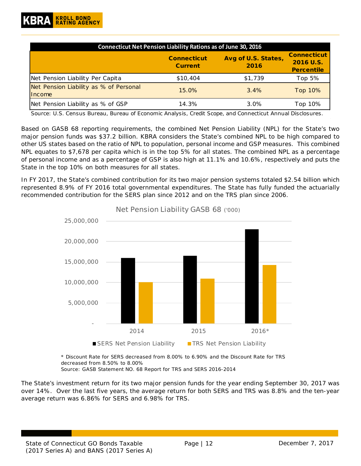| <b>Connecticut Net Pension Liability Rations as of June 30, 2016</b> |                                      |                             |                                                      |  |  |  |  |  |  |
|----------------------------------------------------------------------|--------------------------------------|-----------------------------|------------------------------------------------------|--|--|--|--|--|--|
|                                                                      | <b>Connecticut</b><br><b>Current</b> | Avg of U.S. States,<br>2016 | <b>Connecticut</b><br>2016 U.S.<br><b>Percentile</b> |  |  |  |  |  |  |
| Net Pension Liability Per Capita                                     | \$10,404                             | \$1,739                     | Top 5 $%$                                            |  |  |  |  |  |  |
| Net Pension Liability as % of Personal<br>Income                     | 15.0%                                | 3.4%                        | Top 10%                                              |  |  |  |  |  |  |
| Net Pension Liability as % of GSP                                    | 14.3%                                | $3.0\%$                     | Top 10%                                              |  |  |  |  |  |  |

*Source: U.S. Census Bureau, Bureau of Economic Analysis, Credit Scope, and Connecticut Annual Disclosures.* 

Based on GASB 68 reporting requirements, the combined Net Pension Liability (NPL) for the State's two major pension funds was \$37.2 billion. KBRA considers the State's combined NPL to be high compared to other US states based on the ratio of NPL to population, personal income and GSP measures. This combined NPL equates to \$7,678 per capita which is in the top 5% for all states. The combined NPL as a percentage of personal income and as a percentage of GSP is also high at 11.1% and 10.6%, respectively and puts the State in the top 10% on both measures for all states.

In FY 2017, the State's combined contribution for its two major pension systems totaled \$2.54 billion which represented 8.9% of FY 2016 total governmental expenditures. The State has fully funded the actuarially recommended contribution for the SERS plan since 2012 and on the TRS plan since 2006.



Net Pension Liability GASB 68 ('000)

*\* Discount Rate for SERS decreased from 8.00% to 6.90% and the Discount Rate for TRS decreased from 8.50% to 8.00% Source: GASB Statement NO. 68 Report for TRS and SERS 2016-2014*

The State's investment return for its two major pension funds for the year ending September 30, 2017 was over 14%. Over the last five years, the average return for both SERS and TRS was 8.8% and the ten-year average return was 6.86% for SERS and 6.98% for TRS.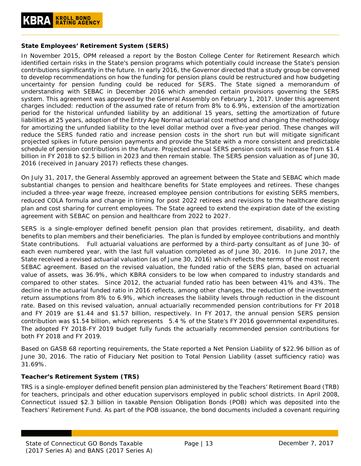#### <span id="page-12-0"></span>**State Employees' Retirement System (SERS)**

In November 2015, OPM released a report by the Boston College Center for Retirement Research which identified certain risks in the State's pension programs which potentially could increase the State's pension contributions significantly in the future. In early 2016, the Governor directed that a study group be convened to develop recommendations on how the funding for pension plans could be restructured and how budgeting uncertainty for pension funding could be reduced for SERS. The State signed a memorandum of understanding with SEBAC in December 2016 which amended certain provisions governing the SERS system. This agreement was approved by the General Assembly on February 1, 2017. Under this agreement charges included: reduction of the assumed rate of return from 8% to 6.9%, extension of the amortization period for the historical unfunded liability by an additional 15 years, setting the amortization of future liabilities at 25 years, adoption of the Entry Age Normal actuarial cost method and changing the methodology for amortizing the unfunded liability to the level dollar method over a five-year period. These changes will reduce the SERS funded ratio and increase pension costs in the short run but will mitigate significant projected spikes in future pension payments and provide the State with a more consistent and predictable schedule of pension contributions in the future. Projected annual SERS pension costs will increase from \$1.4 billion in FY 2018 to \$2.5 billion in 2023 and then remain stable. The SERS pension valuation as of June 30, 2016 (received in January 2017) reflects these changes.

On July 31, 2017, the General Assembly approved an agreement between the State and SEBAC which made substantial changes to pension and healthcare benefits for State employees and retirees. These changes included a three-year wage freeze, increased employee pension contributions for existing SERS members, reduced COLA formula and change in timing for post 2022 retirees and revisions to the healthcare design plan and cost sharing for current employees. The State agreed to extend the expiration date of the existing agreement with SEBAC on pension and healthcare from 2022 to 2027.

SERS is a single-employer defined benefit pension plan that provides retirement, disability, and death benefits to plan members and their beneficiaries. The plan is funded by employee contributions and monthly State contributions. Full actuarial valuations are performed by a third-party consultant as of June 30- of each even numbered year, with the last full valuation completed as of June 30, 2016. In June 2017, the State received a revised actuarial valuation (as of June 30, 2016) which reflects the terms of the most recent SEBAC agreement. Based on the revised valuation, the funded ratio of the SERS plan, based on actuarial value of assets, was 36.9%, which KBRA considers to be low when compared to industry standards and compared to other states. Since 2012, the actuarial funded ratio has been between 41% and 43%. The decline in the actuarial funded ratio in 2016 reflects, among other changes, the reduction of the investment return assumptions from 8% to 6.9%, which increases the liability levels through reduction in the discount rate. Based on this revised valuation, annual actuarially recommended pension contributions for FY 2018 and FY 2019 are \$1.44 and \$1.57 billion, respectively. In FY 2017, the annual pension SERS pension contribution was \$1.54 billion, which represents 5.4 % of the State's FY 2016 governmental expenditures. The adopted FY 2018-FY 2019 budget fully funds the actuarially recommended pension contributions for both FY 2018 and FY 2019.

Based on GASB 68 reporting requirements, the State reported a Net Pension Liability of \$22.96 billion as of June 30, 2016. The ratio of Fiduciary Net position to Total Pension Liability (asset sufficiency ratio) was 31.69%.

#### <span id="page-12-1"></span>**Teacher's Retirement System (TRS)**

TRS is a single-employer defined benefit pension plan administered by the Teachers' Retirement Board (TRB) for teachers, principals and other education supervisors employed in public school districts. In April 2008, Connecticut issued \$2.3 billion in taxable Pension Obligation Bonds (POB) which was deposited into the Teachers' Retirement Fund. As part of the POB issuance, the bond documents included a covenant requiring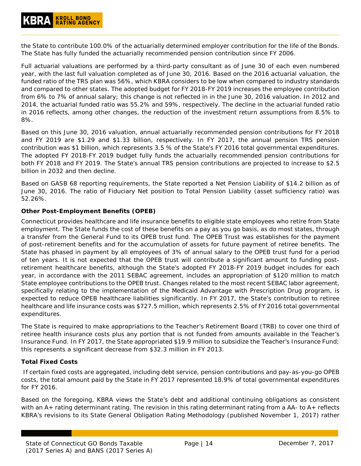the State to contribute 100.0% of the actuarially determined employer contribution for the life of the Bonds. The State has fully funded the actuarially recommended pension contribution since FY 2006.

Full actuarial valuations are performed by a third-party consultant as of June 30 of each even numbered year, with the last full valuation completed as of June 30, 2016. Based on the 2016 actuarial valuation, the funded ratio of the TRS plan was 56%, which KBRA considers to be low when compared to industry standards and compared to other states. The adopted budget for FY 2018-FY 2019 increases the employee contribution from 6% to 7% of annual salary; this change is not reflected in in the June 30, 2016 valuation. In 2012 and 2014, the actuarial funded ratio was 55.2% and 59%, respectively. The decline in the actuarial funded ratio in 2016 reflects, among other changes, the reduction of the investment return assumptions from 8.5% to 8%.

Based on this June 30, 2016 valuation, annual actuarially recommended pension contributions for FY 2018 and FY 2019 are \$1.29 and \$1.33 billion, respectively. In FY 2017, the annual pension TRS pension contribution was \$1 billion, which represents 3.5 % of the State's FY 2016 total governmental expenditures. The adopted FY 2018-FY 2019 budget fully funds the actuarially recommended pension contributions for both FY 2018 and FY 2019. The State's annual TRS pension contributions are projected to increase to \$2.5 billion in 2032 and then decline.

Based on GASB 68 reporting requirements, the State reported a Net Pension Liability of \$14.2 billion as of June 30, 2016. The ratio of Fiduciary Net position to Total Pension Liability (asset sufficiency ratio) was 52.26%.

#### <span id="page-13-0"></span>**Other Post-Employment Benefits (OPEB)**

Connecticut provides healthcare and life insurance benefits to eligible state employees who retire from State employment. The State funds the cost of these benefits on a pay as you go basis, as do most states, through a transfer from the General Fund to its OPEB trust fund. The OPEB Trust was establishes for the payment of post-retirement benefits and for the accumulation of assets for future payment of retiree benefits. The State has phased in payment by all employees of 3% of annual salary to the OPEB trust fund for a period of ten years. It is not expected that the OPEB trust will contribute a significant amount to funding postretirement healthcare benefits, although the State's adopted FY 2018-FY 2019 budget includes for each year, in accordance with the 2011 SEBAC agreement, includes an appropriation of \$120 million to match State employee contributions to the OPEB trust. Changes related to the most recent SEBAC labor agreement, specifically relating to the implementation of the Medicaid Advantage with Prescription Drug program, is expected to reduce OPEB healthcare liabilities significantly. In FY 2017, the State's contribution to retiree healthcare and life insurance costs was \$727.5 million, which represents 2.5% of FY 2016 total governmental expenditures.

The State is required to make appropriations to the Teacher's Retirement Board (TRB) to cover one third of retiree health insurance costs plus any portion that is not funded from amounts available in the Teacher's Insurance Fund. In FY 2017, the State appropriated \$19.9 million to subsidize the Teacher's Insurance Fund; this represents a significant decrease from \$32.3 million in FY 2013.

#### <span id="page-13-1"></span>**Total Fixed Costs**

If certain fixed costs are aggregated, including debt service, pension contributions and pay-as-you-go OPEB costs, the total amount paid by the State in FY 2017 represented 18.9% of total governmental expenditures for FY 2016.

Based on the foregoing, KBRA views the State's debt and additional continuing obligations as consistent with an A+ rating determinant rating. The revision in this rating determinant rating from a AA- to A+ reflects KBRA's revisions to its State General Obligation Rating Methodology (published November 1, 2017) rather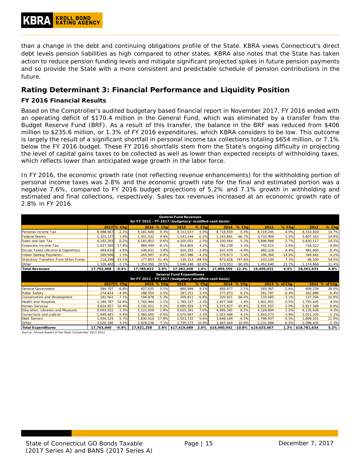than a change in the debt and continuing obligations profile of the State. KBRA views Connecticut's direct debt levels pension liabilities as high compared to other states. KBRA also notes that the State has taken action to reduce pension funding levels and mitigate significant projected spikes in future pension payments and so provide the State with a more consistent and predictable schedule of pension contributions in the future.

# <span id="page-14-0"></span>**Rating Determinant 3: Financial Performance and Liquidity Position**

#### <span id="page-14-1"></span>**FY 2016 Financial Results**

Based on the Comptroller's audited budgetary based financial report in November 2017, FY 2016 ended with an operating deficit of \$170.4 million in the General Fund, which was eliminated by a transfer from the Budget Reserve Fund (BRF). As a result of this transfer, the balance in the BRF was reduced from \$406 million to \$235.6 million, or 1.3% of FY 2016 expenditures, which KBRA considers to be low. This outcome is largely the result of a significant shortfall in personal income tax collections totaling \$654 million, or 7.1% below the FY 2016 budget. These FY 2016 shortfalls stem from the State's ongoing difficulty in projecting the level of capital gains taxes to be collected as well as lower than expected receipts of withholding taxes, which reflects lower than anticipated wage growth in the labor force.

In FY 2016, the economic growth rate (not reflecting revenue enhancements) for the withholding portion of personal income taxes was 2.8% and the economic growth rate for the final and estimated portion was a negative 7.6%, compared to FY 2016 budget projections of 5.2% and 7.1% growth in withholding and estimated and final collections, respectively. Sales tax revenues increased at an economic growth rate of 2.8% in FY 2016.

| <b>General Fund Revenues</b><br>for FY 2012 - FY 2017 (budgetary/modified cash basis) |             |              |             |            |                 |         |                    |            |            |               |                                  |                             |  |  |  |  |  |  |  |  |
|---------------------------------------------------------------------------------------|-------------|--------------|-------------|------------|-----------------|---------|--------------------|------------|------------|---------------|----------------------------------|-----------------------------|--|--|--|--|--|--|--|--|
|                                                                                       |             |              |             |            |                 |         |                    |            |            |               |                                  |                             |  |  |  |  |  |  |  |  |
|                                                                                       |             | 2017 \% Chq  |             | 2016 % Chq | 2015            | % Chq   | 2014               | % Chq      | 2013       | % Chal        | 2012                             | % Chg                       |  |  |  |  |  |  |  |  |
| Personal Income Tax                                                                   | 8,988,667   | $-2.1%$      | 9,181,648   | 0.3%       | 9,151,037       | 5.0%    | 8,718,659          | 0.0%       | 8,719,245  | 4.9%          | 8,310,820                        | 14.7%                       |  |  |  |  |  |  |  |  |
| Federal Grants                                                                        | 1,325,237   | 1.8%         | 1,301,532   | 4.9%       | 1,241,244       | $-0.2%$ | 1,243,861          | $-66.7%$   | 3,733,909  | 3.5%          | 3,607,163                        | $-14.8%$                    |  |  |  |  |  |  |  |  |
| Sales and Use Tax                                                                     | 4, 192, 203 | 0.2%         | 4, 181, 852 | $-0.6%$    | 4,205,051       | 2.5%    | 4,100,564          | 5.2%       | 3,896,998  | 1.7%          | 3,830,117                        | 14.2%                       |  |  |  |  |  |  |  |  |
| Corporate Income Tax                                                                  | 1,037,565   | 17.8%        | 880,449     | 8.1%       | 814,805         | 4.2%    | 782,239            | 5.3%       | 742,515    | 3.6%          | 716,522                          | $-9.8%$                     |  |  |  |  |  |  |  |  |
| Excise Taxes (Alcohol & Cigarettes)                                                   | 444,610     | 1.8%         | 436,631     | 3.9%       | 420,355         | $-3.9%$ | 437,479            | $-4.9%$    | 460,228    | $-4.4%$       | 481,600                          | 6.3%                        |  |  |  |  |  |  |  |  |
| Indian Gaming Payments                                                                | 269.906     | 1.5%         | 265,907     | $-0.8%$    | 267,986         | $-4.2%$ | 279,873            | $-5.6%$    | 296,396    | $-14.0%$      | 344,645                          | $-4.2%$                     |  |  |  |  |  |  |  |  |
| Statutory Transfers From Other Funds                                                  | 118,299     | $-33.5%$     | 177,853     | 31.4%      | 135,313 - 84.5% |         | 873,828            | 747.6%     | 103,100    | 7.3%          | 96,100                           | $-54.5%$                    |  |  |  |  |  |  |  |  |
| Other                                                                                 | 1,326,482   | $-2.1%$      | 1,354,950   | 29.5%      | 1,046,248       | 82.6%   | 573,053            | $-60.6%$   | 1,452,640  | 23.7%         | 1.174.666                        | 11.4%                       |  |  |  |  |  |  |  |  |
| <b>Total Revenues</b>                                                                 | 17,702,968  | $-0.4%$      | 17,780,822  | 2.9%       | 17,282,038      | 1.6%    | 17,009,556 - 12.3% |            | 19,405,031 | 4.5%          | 18,561,633                       | 4.8%                        |  |  |  |  |  |  |  |  |
|                                                                                       |             |              |             |            |                 |         |                    |            |            |               | <b>General Fund Expenditures</b> |                             |  |  |  |  |  |  |  |  |
| for FY 2011 - FY 2017 (budgetary/modified cash basis)                                 |             |              |             |            |                 |         |                    |            |            |               |                                  |                             |  |  |  |  |  |  |  |  |
|                                                                                       |             |              |             |            |                 |         |                    |            |            |               |                                  |                             |  |  |  |  |  |  |  |  |
|                                                                                       |             | $2017$ % Chq |             | 2016 % Cha | 2015            | % Chq   |                    | 2014 % Chq |            | 2013 % of Chq |                                  | 2012 % of Chg               |  |  |  |  |  |  |  |  |
| General Government                                                                    | 584,707     | $-6.8%$      | 627,035     | $-5.1%$    | 660,999         | 9.1%    | 605,677            | 2.1%       | 593.367    | $-2.6%$       | 609,239                          | 28.0%                       |  |  |  |  |  |  |  |  |
| Public Safety                                                                         | 274.414     | $-4.9%$      | 288,554     | 0.5%       | 287.251         | 3.4%    | 277,873            | 6.1%       | 261.787    | $-0.4%$       | 262,898                          | 0.4%                        |  |  |  |  |  |  |  |  |
| Conservation and Development                                                          | 181,061     | $-7.1%$      | 194,878     | $-5.3%$    | 205,811         | $-6.8%$ | 220,921            | 66.0%      | 133,083    | $-3.1%$       | 137,294                          | 10.8%                       |  |  |  |  |  |  |  |  |
| Health and Hospitals                                                                  | 1,189,787   | $-32.6%$     | 1,765,944   | $-1.1%$    | 1,785,337       | $-2.3%$ | ,827,308           | 1.4%       | 1.801.951  | 0.5%          | 1,792,435                        | 4.5%                        |  |  |  |  |  |  |  |  |
| Human Services                                                                        | 3,624,957   | 16.9%        | 3,102,021   | 0.2%       | 3,095,929       | $-3.7%$ | 3,215,827          | -45.8%     | 5,931,567  | 2.0%          | 5,817,369                        | 8.0%                        |  |  |  |  |  |  |  |  |
| Education, Libraries and Museums                                                      | 5,003,922   | $-2.3%$      | 5,122,028   | 1.9%       | 5,025,391       | 7.0%    | 4,695,345          | 8.5%       | 4,328,894  | 2.2%          | 4,235,428                        | 4.3%                        |  |  |  |  |  |  |  |  |
| Corrections and Judicial                                                              | 1.949.483   | $-5.4%$      | 2,060,650   | $-0.5%$    | 2,070,067       | 2.3%    | 2.023.498          | 4.1%       | 1,943,273  | $-3.9%$       | 2,021,335                        |                             |  |  |  |  |  |  |  |  |
| Debt Service                                                                          | 1,934,529   | 5.7%         | 1,830,910   | 17.8%      | 1,553,732       | $-5.6%$ | 1,646,149          | $-8.5%$    | 1,799,937  | $-0.5%$       | 1,809,201                        |                             |  |  |  |  |  |  |  |  |
| Other                                                                                 | 3,020,180   | 3.1%         | 2,929,238   | 7.1%       | 2,735,173       | 10.9%   | 2,467,444          | 10.6%      | 2,231,808  | 6.5%          | 2,096,435                        | $-1.1%$<br>11.0%<br>$-2.3%$ |  |  |  |  |  |  |  |  |

*Source: Annual Report of the State Comptroller 2017-2012*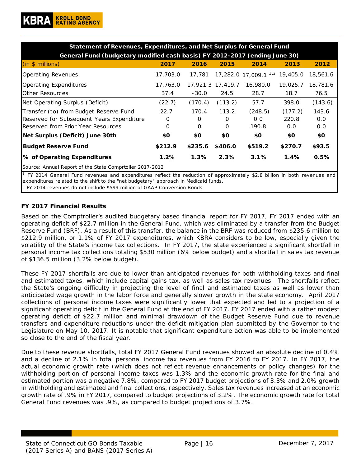| Statement of Revenues, Expenditures, and Net Surplus for General Fund                                                        |          |         |                   |                                           |          |          |  |  |  |  |
|------------------------------------------------------------------------------------------------------------------------------|----------|---------|-------------------|-------------------------------------------|----------|----------|--|--|--|--|
| General Fund (budgetary modified cash basis) FY 2012-2017 (ending June 30)                                                   |          |         |                   |                                           |          |          |  |  |  |  |
| (in \$ millions)                                                                                                             | 2017     | 2016    | 2015              | 2014                                      | 2013     | 2012     |  |  |  |  |
| <b>Operating Revenues</b>                                                                                                    | 17,703.0 | 17,781  |                   | 17,282.0 17,009.1 <sup>1,2</sup> 19,405.0 |          | 18,561.6 |  |  |  |  |
| Operating Expenditures                                                                                                       | 17,763.0 |         | 17,921.3 17,419.7 | 16,980.0                                  | 19,025.7 | 18,781.6 |  |  |  |  |
| lOther Resources                                                                                                             | 37.4     | $-30.0$ | 24.5              | 28.7                                      | 18.7     | 76.5     |  |  |  |  |
| Net Operating Surplus (Deficit)                                                                                              | (22.7)   | (170.4) | (113.2)           | 57.7                                      | 398.0    | (143.6)  |  |  |  |  |
| Transfer (to) from Budget Reserve Fund                                                                                       | 22.7     | 170.4   | 113.2             | (248.5)                                   | (177.2)  | 143.6    |  |  |  |  |
| Reserved for Subsequent Years Expenditure                                                                                    | $\Omega$ | 0       | $\Omega$          | 0.0                                       | 220.8    | 0.0      |  |  |  |  |
| Reserved from Prior Year Resources                                                                                           | 0        | 0       | $\Omega$          | 190.8                                     | 0.0      | 0.0      |  |  |  |  |
| Net Surplus (Deficit) June 30th                                                                                              | \$0      | \$0     | \$0               | \$0                                       | \$0      | \$0      |  |  |  |  |
| <b>Budget Reserve Fund</b>                                                                                                   | \$212.9  | \$235.6 | \$406.0           | \$519.2                                   | \$270.7  | \$93.5   |  |  |  |  |
| % of Operating Expenditures                                                                                                  | 1.2%     | 1.3%    | 2.3%              | 3.1%                                      | 1.4%     | 0.5%     |  |  |  |  |
| Source: Annual Report of the State Comprtoller 2017-2012                                                                     |          |         |                   |                                           |          |          |  |  |  |  |
| $1$ FY 2014 General Fund revenues and expenditures reflect the reduction of approximately \$2.8 billion in both revenues and |          |         |                   |                                           |          |          |  |  |  |  |

*2 FY 2014 revenues do not include \$599 million of GAAP Conversion Bonds expenditures related to the shift to the "net budgetary" approach in Medicaid funds.*

#### <span id="page-15-0"></span>**FY 2017 Financial Results**

Based on the Comptroller's audited budgetary based financial report for FY 2017, FY 2017 ended with an operating deficit of \$22.7 million in the General Fund, which was eliminated by a transfer from the Budget Reserve Fund (BRF). As a result of this transfer, the balance in the BRF was reduced from \$235.6 million to \$212.9 million, or 1.1% of FY 2017 expenditures, which KBRA considers to be low, especially given the volatility of the State's income tax collections. In FY 2017, the state experienced a significant shortfall in personal income tax collections totaling \$530 million (6% below budget) and a shortfall in sales tax revenue of \$136.5 million (3.2% below budget).

These FY 2017 shortfalls are due to lower than anticipated revenues for both withholding taxes and final and estimated taxes, which include capital gains tax, as well as sales tax revenues. The shortfalls reflect the State's ongoing difficulty in projecting the level of final and estimated taxes as well as lower than anticipated wage growth in the labor force and generally slower growth in the state economy. April 2017 collections of personal income taxes were significantly lower that expected and led to a projection of a significant operating deficit in the General Fund at the end of FY 2017. FY 2017 ended with a rather modest operating deficit of \$22.7 million and minimal drawdown of the Budget Reserve Fund due to revenue transfers and expenditure reductions under the deficit mitigation plan submitted by the Governor to the Legislature on May 10, 2017. It is notable that significant expenditure action was able to be implemented so close to the end of the fiscal year.

Due to these revenue shortfalls, total FY 2017 General Fund revenues showed an absolute decline of 0.4% and a decline of 2.1% in total personal income tax revenues from FY 2016 to FY 2017. In FY 2017, the actual economic growth rate (which does not reflect revenue enhancements or policy changes) for the withholding portion of personal income taxes was 1.3% and the economic growth rate for the final and estimated portion was a negative 7.8%, compared to FY 2017 budget projections of 3.3% and 2.0% growth in withholding and estimated and final collections, respectively. Sales tax revenues increased at an economic growth rate of .9% in FY 2017, compared to budget projections of 3.2%. The economic growth rate for total General Fund revenues was .9%, as compared to budget projections of 3.7%.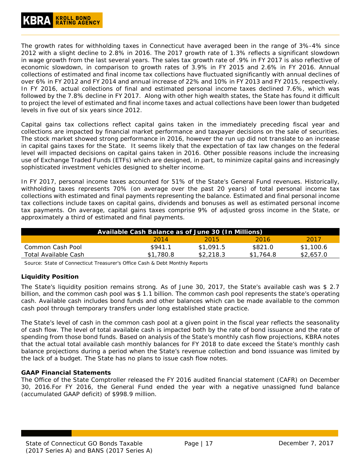The growth rates for withholding taxes in Connecticut have averaged been in the range of 3%-4% since 2012 with a slight decline to 2.8% in 2016. The 2017 growth rate of 1.3% reflects a significant slowdown in wage growth from the last several years. The sales tax growth rate of .9% in FY 2017 is also reflective of economic slowdown, in comparison to growth rates of 3.9% in FY 2015 and 2.6% in FY 2016. Annual collections of estimated and final income tax collections have fluctuated significantly with annual declines of over 6% in FY 2012 and FY 2014 and annual increase of 22% and 10% in FY 2013 and FY 2015, respectively. In FY 2016, actual collections of final and estimated personal income taxes declined 7.6%, which was followed by the 7.8% decline in FY 2017. Along with other high wealth states, the State has found it difficult to project the level of estimated and final income taxes and actual collections have been lower than budgeted levels in five out of six years since 2012.

Capital gains tax collections reflect capital gains taken in the immediately preceding fiscal year and collections are impacted by financial market performance and taxpayer decisions on the sale of securities. The stock market showed strong performance in 2016, however the run up did not translate to an increase in capital gains taxes for the State. It seems likely that the expectation of tax law changes on the federal level will impacted decisions on capital gains taken in 2016. Other possible reasons include the increasing use of Exchange Traded Funds (ETFs) which are designed, in part, to minimize capital gains and increasingly sophisticated investment vehicles designed to shelter income.

In FY 2017, personal income taxes accounted for 51% of the State's General Fund revenues. Historically, withholding taxes represents 70% (on average over the past 20 years) of total personal income tax collections with estimated and final payments representing the balance. Estimated and final personal income tax collections include taxes on capital gains, dividends and bonuses as well as estimated personal income tax payments. On average, capital gains taxes comprise 9% of adjusted gross income in the State, or approximately a third of estimated and final payments.

| Available Cash Balance as of June 30 (In Millions) |           |           |           |           |  |  |  |  |  |
|----------------------------------------------------|-----------|-----------|-----------|-----------|--|--|--|--|--|
|                                                    | 2014      | 2015      | 2016      | 2017      |  |  |  |  |  |
| Common Cash Pool                                   | \$941.1   | \$1.091.5 | \$821.0   | \$1,100.6 |  |  |  |  |  |
| Total Available Cash                               | \$1,780.8 | \$2,218.3 | \$1,764.8 | \$2,657.0 |  |  |  |  |  |

*Source: State of Connecticut Treasurer's Office Cash & Debt Monthly Reports*

## <span id="page-16-0"></span>**Liquidity Position**

The State's liquidity position remains strong. As of June 30, 2017, the State's available cash was \$ 2.7 billion, and the common cash pool was \$ 1.1 billion. The common cash pool represents the state's operating cash. Available cash includes bond funds and other balances which can be made available to the common cash pool through temporary transfers under long established state practice.

The State's level of cash in the common cash pool at a given point in the fiscal year reflects the seasonality of cash flow. The level of total available cash is impacted both by the rate of bond issuance and the rate of spending from those bond funds. Based on analysis of the State's monthly cash flow projections, KBRA notes that the actual total available cash monthly balances for FY 2018 to date exceed the State's monthly cash balance projections during a period when the State's revenue collection and bond issuance was limited by the lack of a budget. The State has no plans to issue cash flow notes.

#### **GAAP Financial Statements**

The Office of the State Comptroller released the FY 2016 audited financial statement (CAFR) on December 30, 2016.For FY 2016, the General Fund ended the year with a negative unassigned fund balance (accumulated GAAP deficit) of \$998.9 million.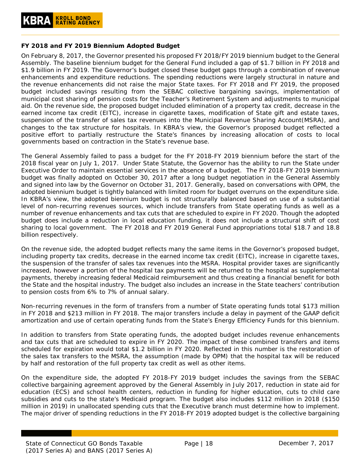#### <span id="page-17-0"></span>**FY 2018 and FY 2019 Biennium Adopted Budget**

On February 8, 2017, the Governor presented his proposed FY 2018/FY 2019 biennium budget to the General Assembly. The baseline biennium budget for the General Fund included a gap of \$1.7 billion in FY 2018 and \$1.9 billion in FY 2019. The Governor's budget closed these budget gaps through a combination of revenue enhancements and expenditure reductions. The spending reductions were largely structural in nature and the revenue enhancements did not raise the major State taxes. For FY 2018 and FY 2019, the proposed budget included savings resulting from the SEBAC collective bargaining savings, implementation of municipal cost sharing of pension costs for the Teacher's Retirement System and adjustments to municipal aid. On the revenue side, the proposed budget included elimination of a property tax credit, decrease in the earned income tax credit (EITC), increase in cigarette taxes, modification of State gift and estate taxes, suspension of the transfer of sales tax revenues into the Municipal Revenue Sharing Account(MSRA), and changes to the tax structure for hospitals. In KBRA's view, the Governor's proposed budget reflected a positive effort to partially restructure the State's finances by increasing allocation of costs to local governments based on contraction in the State's revenue base.

The General Assembly failed to pass a budget for the FY 2018-FY 2019 biennium before the start of the 2018 fiscal year on July 1, 2017. Under State Statute, the Governor has the ability to run the State under Executive Order to maintain essential services in the absence of a budget. The FY 2018-FY 2019 biennium budget was finally adopted on October 30, 2017 after a long budget negotiation in the General Assembly and signed into law by the Governor on October 31, 2017. Generally, based on conversations with OPM, the adopted biennium budget is tightly balanced with limited room for budget overruns on the expenditure side. In KBRA's view, the adopted biennium budget is not structurally balanced based on use of a substantial level of non-recurring revenues sources, which include transfers from State operating funds as well as a number of revenue enhancements and tax cuts that are scheduled to expire in FY 2020. Though the adopted budget does include a reduction in local education funding, it does not include a structural shift of cost sharing to local government. The FY 2018 and FY 2019 General Fund appropriations total \$18.7 and 18.8 billion respectively.

On the revenue side, the adopted budget reflects many the same items in the Governor's proposed budget, including property tax credits, decrease in the earned income tax credit (EITC), increase in cigarette taxes, the suspension of the transfer of sales tax revenues into the MSRA. Hospital provider taxes are significantly increased, however a portion of the hospital tax payments will be returned to the hospital as supplemental payments, thereby increasing federal Medicaid reimbursement and thus creating a financial benefit for both the State and the hospital industry. The budget also includes an increase in the State teachers' contribution to pension costs from 6% to 7% of annual salary.

Non-recurring revenues in the form of transfers from a number of State operating funds total \$173 million in FY 2018 and \$213 million in FY 2018. The major transfers include a delay in payment of the GAAP deficit amortization and use of certain operating funds from the State's Energy Efficiency Funds for this biennium.

In addition to transfers from State operating funds, the adopted budget includes revenue enhancements and tax cuts that are scheduled to expire in FY 2020. The impact of these combined transfers and items scheduled for expiration would total \$1.2 billion in FY 2020. Reflected in this number is the restoration of the sales tax transfers to the MSRA, the assumption (made by OPM) that the hospital tax will be reduced by half and restoration of the full property tax credit as well as other items.

On the expenditure side, the adopted FY 2018-FY 2019 budget includes the savings from the SEBAC collective bargaining agreement approved by the General Assembly in July 2017, reduction in state aid for education (ECS) and school health centers, reduction in funding for higher education, cuts to child care subsidies and cuts to the state's Medicaid program. The budget also includes \$112 million in 2018 (\$150 million in 2019) in unallocated spending cuts that the Executive branch must determine how to implement. The major driver of spending reductions in the FY 2018-FY 2019 adopted budget is the collective bargaining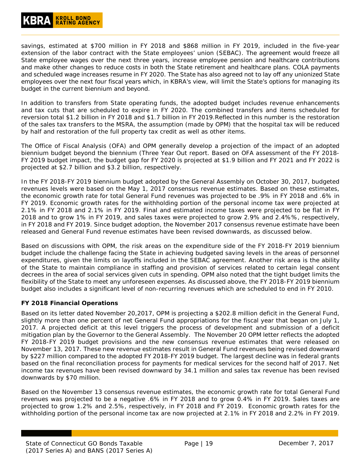# **KROLL BOND<br>RATING AGENCY**

savings, estimated at \$700 million in FY 2018 and \$868 million in FY 2019, included in the five-year extension of the labor contract with the State employees' union (SEBAC). The agreement would freeze all State employee wages over the next three years, increase employee pension and healthcare contributions and make other changes to reduce costs in both the State retirement and healthcare plans. COLA payments and scheduled wage increases resume in FY 2020. The State has also agreed not to lay off any unionized State employees over the next four fiscal years which, in KBRA's view, will limit the State's options for managing its budget in the current biennium and beyond.

In addition to transfers from State operating funds, the adopted budget includes revenue enhancements and tax cuts that are scheduled to expire in FY 2020. The combined transfers and items scheduled for reversion total \$1.2 billion in FY 2018 and \$1.7 billion in FY 2019.Reflected in this number is the restoration of the sales tax transfers to the MSRA, the assumption (made by OPM) that the hospital tax will be reduced by half and restoration of the full property tax credit as well as other items.

The Office of Fiscal Analysis (OFA) and OPM generally develop a projection of the impact of an adopted biennium budget beyond the biennium (Three Year Out report. Based on OFA assessment of the FY 2018- FY 2019 budget impact, the budget gap for FY 2020 is projected at \$1.9 billion and FY 2021 and FY 2022 is projected at \$2.7 billion and \$3.2 billion, respectively.

In the FY 2018-FY 2019 biennium budget adopted by the General Assembly on October 30, 2017, budgeted revenues levels were based on the May 1, 2017 consensus revenue estimates. Based on these estimates, the economic growth rate for total General Fund revenues was projected to be .9% in FY 2018 and .6% in FY 2019. Economic growth rates for the withholding portion of the personal income tax were projected at 2.1% in FY 2018 and 2.1% in FY 2019. Final and estimated income taxes were projected to be flat in FY 2018 and to grow 1% in FY 2019, and sales taxes were projected to grow 2.9% and 2.4%%, respectively, in FY 2018 and FY 2019. Since budget adoption, the November 2017 consensus revenue estimate have been released and General Fund revenue estimates have been revised downwards, as discussed below.

Based on discussions with OPM, the risk areas on the expenditure side of the FY 2018-FY 2019 biennium budget include the challenge facing the State in achieving budgeted saving levels in the areas of personnel expenditures, given the limits on layoffs included in the SEBAC agreement. Another risk area is the ability of the State to maintain compliance in staffing and provision of services related to certain legal consent decrees in the area of social services given cuts in spending. OPM also noted that the tight budget limits the flexibility of the State to meet any unforeseen expenses. As discussed above, the FY 2018-FY 2019 biennium budget also includes a significant level of non-recurring revenues which are scheduled to end in FY 2010.

#### <span id="page-18-0"></span>**FY 2018 Financial Operations**

Based on its letter dated November 20,2017, OPM is projecting a \$202.8 million deficit in the General Fund, slightly more than one percent of net General Fund appropriations for the fiscal year that began on July 1, 2017. A projected deficit at this level triggers the process of development and submission of a deficit mitigation plan by the Governor to the General Assembly. The November 20 OPM letter reflects the adopted FY 2018-FY 2019 budget provisions and the new consensus revenue estimates that were released on November 13, 2017. These new revenue estimates result in General Fund revenues being revised downward by \$227 million compared to the adopted FY 2018-FY 2019 budget. The largest decline was in federal grants based on the final reconciliation process for payments for medical services for the second half of 2017. Net income tax revenues have been revised downward by 34.1 million and sales tax revenue has been revised downwards by \$70 million.

Based on the November 13 consensus revenue estimates, the economic growth rate for total General Fund revenues was projected to be a negative .6% in FY 2018 and to grow 0.4% in FY 2019. Sales taxes are projected to grow 1.2% and 2.5%, respectively, in FY 2018 and FY 2019. Economic growth rates for the withholding portion of the personal income tax are now projected at 2.1% in FY 2018 and 2.2% in FY 2019.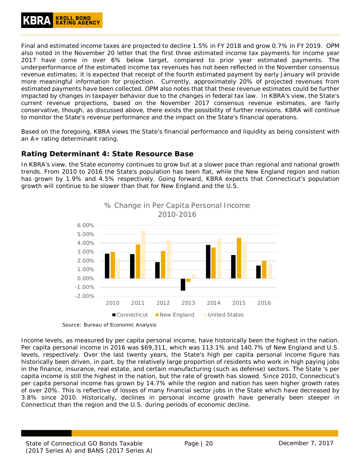Final and estimated income taxes are projected to decline 1.5% in FY 2018 and grow 0.7% in FY 2019. OPM also noted in the November 20 letter that the first three estimated income tax payments for income year 2017 have come in over 6% below target, compared to prior year estimated payments. The underperformance of the estimated income tax revenues has not been reflected in the November consensus revenue estimates; it is expected that receipt of the fourth estimated payment by early January will provide more meaningful information for projection. Currently, approximately 20% of projected revenues from estimated payments have been collected. OPM also notes that that these revenue estimates could be further impacted by changes in taxpayer behavior due to the changes in federal tax law. In KBRA's view, the State's current revenue projections, based on the November 2017 consensus revenue estimates, are fairly conservative, though, as discussed above, there exists the possibility of further revisions. KBRA will continue to monitor the State's revenue performance and the impact on the State's financial operations.

Based on the foregoing, KBRA views the State's financial performance and liquidity as being consistent with an A+ rating determinant rating.

# <span id="page-19-0"></span>**Rating Determinant 4: State Resource Base**

In KBRA's view, the State economy continues to grow but at a slower pace than regional and national growth trends. From 2010 to 2016 the State's population has been flat, while the New England region and nation has grown by 1.9% and 4.5% respectively. Going forward, KBRA expects that Connecticut's population growth will continue to be slower than that for New England and the U.S.



*Source: Bureau of Economic Analysis*

Income levels, as measured by per capita personal income, have historically been the highest in the nation. Per capita personal income in 2016 was \$69,311, which was 113.1% and 140.7% of New England and U.S. levels, respectively. Over the last twenty years, the State's high per capita personal income figure has historically been driven, in part, by the relatively large proportion of residents who work in high paying jobs in the finance, insurance, real estate, and certain manufacturing (such as defense) sectors. The State 's per capita income is still the highest in the nation, but the rate of growth has slowed. Since 2010, Connecticut's per capita personal income has grown by 14.7% while the region and nation has seen higher growth rates of over 20%. This is reflective of losses of many financial sector jobs in the State which have decreased by 3.8% since 2010. Historically, declines in personal income growth have generally been steeper in Connecticut than the region and the U.S. during periods of economic decline.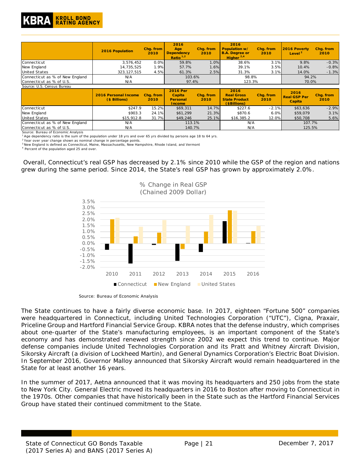

|                                 | 2016 Population                              | Chq. from<br>2010 | 2016<br>Age<br><b>Dependency</b><br>Ratio $1/2$        | Chq. from<br>2010 | 2016<br>Population w/<br><b>B.A. Degree or</b><br>Higher $^{2,4}$ | Chq. from<br>2010 | 2016 Poverty<br>Level <sup>2</sup>    | Chq. from<br>2010 |
|---------------------------------|----------------------------------------------|-------------------|--------------------------------------------------------|-------------------|-------------------------------------------------------------------|-------------------|---------------------------------------|-------------------|
| Connecticut                     | 3,576,452                                    | 0.0%              | 59.8%                                                  | 1.0%              | 38.6%                                                             | 3.1%              | 9.8%                                  | $-0.3%$           |
| New England                     | 14,735,525                                   | 1.9%              | 57.7%                                                  | 1.6%              | 39.1%                                                             | 3.5%              | 10.4%                                 | $-0.8%$           |
| <b>United States</b>            | 323, 127, 515                                | 4.5%              | 61.3%                                                  | 2.5%              | 31.3%                                                             | 3.1%              | 14.0%                                 | $-1.3%$           |
| Connecticut as % of New England | N/A                                          |                   | 103.6%                                                 |                   | 98.8%                                                             |                   | 94.2%                                 |                   |
| Connecticut as % of U.S.        | N/A                                          |                   | 97.4%                                                  |                   | 123.3%                                                            |                   | 70.0%                                 |                   |
| Source: U.S. Census Bureau      |                                              |                   |                                                        |                   |                                                                   |                   |                                       |                   |
|                                 | <b>2016 Personal Income</b><br>(\$ Billions) | Chq. from<br>2010 | <b>2016 Per</b><br>Capita<br>Personal<br><b>Income</b> | Chq. from<br>2010 | 2016<br><b>Real Gross</b><br><b>State Product</b><br>(\$Billions) | Chq. from<br>2010 | 2016<br><b>Real GSP Per</b><br>Capita | Chq. from<br>2010 |
| Connecticut                     | \$247.9                                      | 15.2%             | \$69,311                                               | 14.7%             | \$227.6                                                           | $-2.1%$           | \$63,636                              | $-2.9%$           |
| New England                     | \$903.3                                      | 24.1%             | \$61.299                                               | 21.3%             | \$870.6                                                           | 6.0%              | \$59,079                              | 3.1%              |
| <b>United States</b>            | \$15,912.8                                   | 31.7%             | \$49,246                                               | 25.1%             | \$16,385.2                                                        | 12.0%             | \$50,708                              | 5.6%              |
| Connecticut as % of New England | N/A                                          |                   | 113.1%                                                 |                   | N/A                                                               |                   | 107.7%                                |                   |
| Connecticut as % of U.S.        | N/A                                          |                   | 140.7%                                                 |                   | N/A                                                               |                   | 125.5%                                |                   |

Connecticut as % of U.S. *Source: Bureau of Economic Analysis*

*1 Age dependency ratio is the sum of the population under 18 yrs and over 65 yrs divided by persons age 18 to 64 yrs.*

*2 Year over year change shown as nominal change in percentage points.*

*3 New England is defined as Connecticut, Maine, Massachusetts, New Hampshire, Rhode Island, and Vermont* 

*4 Percent of the population aged 25 and over.*

Overall, Connecticut's real GSP has decreased by 2.1% since 2010 while the GSP of the region and nations grew during the same period. Since 2014, the State's real GSP has grown by approximately 2.0%.



*Source: Bureau of Economic Analysis*

The State continues to have a fairly diverse economic base. In 2017, eighteen "Fortune 500" companies were headquartered in Connecticut, including United Technologies Corporation ("UTC"), Cigna, Praxair, Priceline Group and Hartford Financial Service Group. KBRA notes that the defense industry, which comprises about one-quarter of the State's manufacturing employees, is an important component of the State's economy and has demonstrated renewed strength since 2002 we expect this trend to continue. Major defense companies include United Technologies Corporation and its Pratt and Whitney Aircraft Division, Sikorsky Aircraft (a division of Lockheed Martin), and General Dynamics Corporation's Electric Boat Division. In September 2016, Governor Malloy announced that Sikorsky Aircraft would remain headquartered in the State for at least another 16 years.

In the summer of 2017, Aetna announced that it was moving its headquarters and 250 jobs from the state to New York City. General Electric moved its headquarters in 2016 to Boston after moving to Connecticut in the 1970s. Other companies that have historically been in the State such as the Hartford Financial Services Group have stated their continued commitment to the State.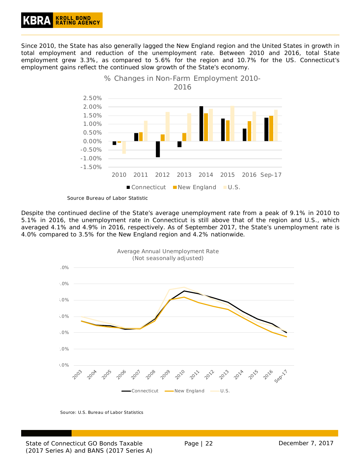

Since 2010, the State has also generally lagged the New England region and the United States in growth in total employment and reduction of the unemployment rate. Between 2010 and 2016, total State employment grew 3.3%, as compared to 5.6% for the region and 10.7% for the US. Connecticut's employment gains reflect the continued slow growth of the State's economy.



*Source Bureau of Labor Statistic*

Despite the continued decline of the State's average unemployment rate from a peak of 9.1% in 2010 to 5.1% in 2016, the unemployment rate in Connecticut is still above that of the region and U.S., which averaged 4.1% and 4.9% in 2016, respectively. As of September 2017, the State's unemployment rate is 4.0% compared to 3.5% for the New England region and 4.2% nationwide.



Source: U.S. Bureau of Labor Statistics